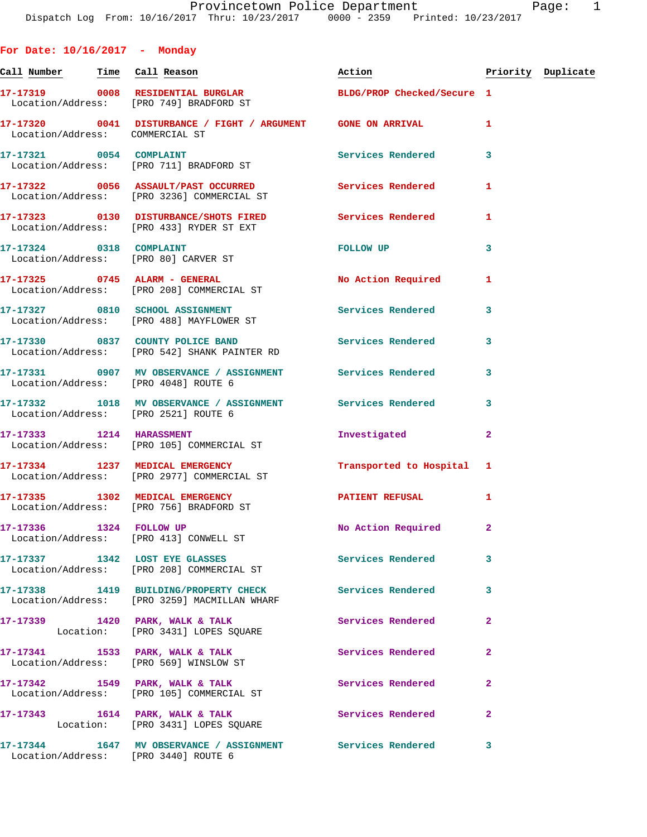**For Date: 10/16/2017 - Monday**

|         | ٠ |  |
|---------|---|--|
|         | ٠ |  |
| ۰.<br>× |   |  |

Call Number Time Call Reason **Reason Action Action** Priority Duplicate **17-17319 0008 RESIDENTIAL BURGLAR BLDG/PROP Checked/Secure 1**  Location/Address: [PRO 749] BRADFORD ST **17-17320 0041 DISTURBANCE / FIGHT / ARGUMENT GONE ON ARRIVAL 1**  Location/Address: COMMERCIAL ST 17-17321 0054 COMPLAINT **Services Rendered** 3 Location/Address: [PRO 711] BRADFORD ST **17-17322 0056 ASSAULT/PAST OCCURRED Services Rendered 1**  Location/Address: [PRO 3236] COMMERCIAL ST **17-17323 0130 DISTURBANCE/SHOTS FIRED Services Rendered 1**  Location/Address: [PRO 433] RYDER ST EXT **17-17324 0318 COMPLAINT FOLLOW UP 3**  Location/Address: [PRO 80] CARVER ST **17-17325 0745 ALARM - GENERAL No Action Required 1**  Location/Address: [PRO 208] COMMERCIAL ST **17-17327 0810 SCHOOL ASSIGNMENT Services Rendered 3**  Location/Address: [PRO 488] MAYFLOWER ST 17-17330 0837 COUNTY POLICE BAND **Services Rendered** 3 Location/Address: [PRO 542] SHANK PAINTER RD **17-17331 0907 MV OBSERVANCE / ASSIGNMENT Services Rendered 3**  Location/Address: [PRO 4048] ROUTE 6 **17-17332 1018 MV OBSERVANCE / ASSIGNMENT Services Rendered 3**  Location/Address: [PRO 2521] ROUTE 6 **17-17333 1214 HARASSMENT Investigated 2**  Location/Address: [PRO 105] COMMERCIAL ST **17-17334 1237 MEDICAL EMERGENCY Transported to Hospital 1**  Location/Address: [PRO 2977] COMMERCIAL ST **17-17335 1302 MEDICAL EMERGENCY PATIENT REFUSAL 1**  Location/Address: [PRO 756] BRADFORD ST **17-17336 1324 FOLLOW UP No Action Required 2**  Location/Address: [PRO 413] CONWELL ST 17-17337 1342 LOST EYE GLASSES SERVICES Rendered 3 Location/Address: [PRO 208] COMMERCIAL ST **17-17338 1419 BUILDING/PROPERTY CHECK Services Rendered 3**  Location/Address: [PRO 3259] MACMILLAN WHARF 17-17339 1420 PARK, WALK & TALK **Services Rendered** 2 Location: [PRO 3431] LOPES SQUARE **17-17341 1533 PARK, WALK & TALK Services Rendered 2**  Location/Address: [PRO 569] WINSLOW ST **17-17342 1549 PARK, WALK & TALK Services Rendered 2**  Location/Address: [PRO 105] COMMERCIAL ST 17-17343 1614 PARK, WALK & TALK 2 Services Rendered 2 Location: [PRO 3431] LOPES SQUARE **17-17344 1647 MV OBSERVANCE / ASSIGNMENT Services Rendered 3**  Location/Address: [PRO 3440] ROUTE 6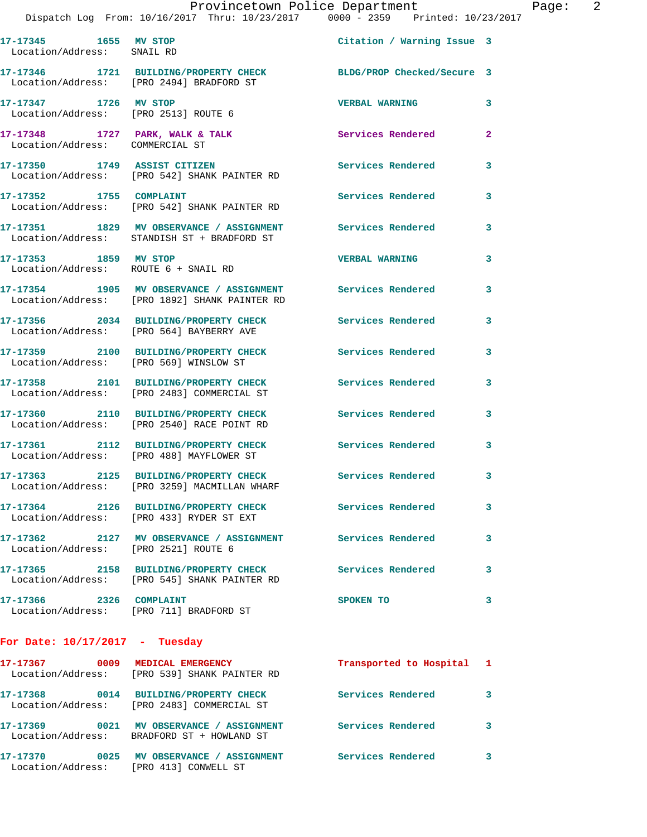|                                                |  |  | Provincetown Police Department  |  | Page: |  |
|------------------------------------------------|--|--|---------------------------------|--|-------|--|
| Dispatch Log From: 10/16/2017 Thru: 10/23/2017 |  |  | 0000 - 2359 Printed: 10/23/2017 |  |       |  |

| 17-17345          | 1655 MV STOP | Citation / Warning Issue 3 |  |
|-------------------|--------------|----------------------------|--|
| Location/Address: | SNAIL RD     |                            |  |

**17-17346 1721 BUILDING/PROPERTY CHECK BLDG/PROP Checked/Secure 3**  Location/Address: [PRO 2494] BRADFORD ST

**17-17347 1726 MV STOP VERBAL WARNING 3**  Location/Address: [PRO 2513] ROUTE 6

17-17348 1727 PARK, WALK & TALK **Services Rendered** 2 Location/Address: COMMERCIAL ST

**17-17350 1749 ASSIST CITIZEN Services Rendered 3**  Location/Address: [PRO 542] SHANK PAINTER RD

**17-17352 1755 COMPLAINT Services Rendered 3**  Location/Address: [PRO 542] SHANK PAINTER RD

**17-17351 1829 MV OBSERVANCE / ASSIGNMENT Services Rendered 3**  Location/Address: STANDISH ST + BRADFORD ST

**17-17353 1859 MV STOP VERBAL WARNING 3**  Location/Address: ROUTE 6 + SNAIL RD

**17-17354 1905 MV OBSERVANCE / ASSIGNMENT Services Rendered 3**  Location/Address: [PRO 1892] SHANK PAINTER RD

**17-17356 2034 BUILDING/PROPERTY CHECK Services Rendered 3**  Location/Address: [PRO 564] BAYBERRY AVE

**17-17359 2100 BUILDING/PROPERTY CHECK Services Rendered 3**  Location/Address: [PRO 569] WINSLOW ST

**17-17358 2101 BUILDING/PROPERTY CHECK Services Rendered 3**  Location/Address: [PRO 2483] COMMERCIAL ST

**17-17360 2110 BUILDING/PROPERTY CHECK Services Rendered 3**  Location/Address: [PRO 2540] RACE POINT RD

**17-17361 2112 BUILDING/PROPERTY CHECK Services Rendered 3**  Location/Address: [PRO 488] MAYFLOWER ST

**17-17363 2125 BUILDING/PROPERTY CHECK Services Rendered 3**  Location/Address: [PRO 3259] MACMILLAN WHARF

**17-17364 2126 BUILDING/PROPERTY CHECK Services Rendered 3**  Location/Address: [PRO 433] RYDER ST EXT

**17-17362 2127 MV OBSERVANCE / ASSIGNMENT Services Rendered 3**  Location/Address: [PRO 2521] ROUTE 6

**17-17365 2158 BUILDING/PROPERTY CHECK Services Rendered 3**  Location/Address: [PRO 545] SHANK PAINTER RD

**17-17366 2326 COMPLAINT SPOKEN TO** 3 Location/Address: [PRO 711] BRADFORD ST

**For Date: 10/17/2017 - Tuesday**

**17-17367 0009 MEDICAL EMERGENCY Transported to Hospital 1**  Location/Address: [PRO 539] SHANK PAINTER RD **17-17368 0014 BUILDING/PROPERTY CHECK Services Rendered 3**  Location/Address: [PRO 2483] COMMERCIAL ST **17-17369 0021 MV OBSERVANCE / ASSIGNMENT Services Rendered 3**  Location/Address: BRADFORD ST + HOWLAND ST **17-17370 0025 MV OBSERVANCE / ASSIGNMENT Services Rendered 3**  Location/Address: [PRO 413] CONWELL ST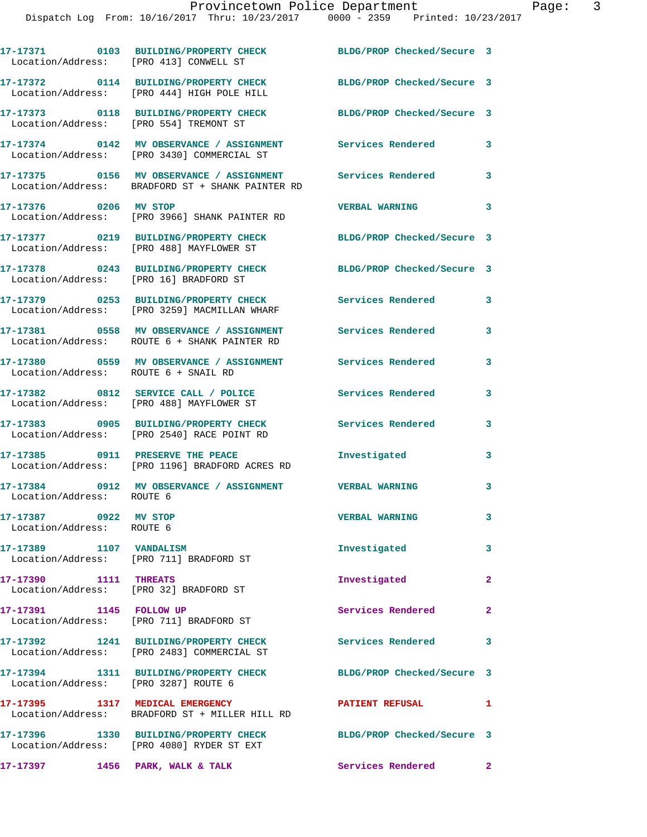| Location/Address: [PRO 413] CONWELL ST             | 17-17371 0103 BUILDING/PROPERTY CHECK                                                                          | BLDG/PROP Checked/Secure 3 |                         |
|----------------------------------------------------|----------------------------------------------------------------------------------------------------------------|----------------------------|-------------------------|
|                                                    | 17-17372 0114 BUILDING/PROPERTY CHECK BLDG/PROP Checked/Secure 3<br>Location/Address: [PRO 444] HIGH POLE HILL |                            |                         |
| Location/Address: [PRO 554] TREMONT ST             | 17-17373 0118 BUILDING/PROPERTY CHECK                                                                          | BLDG/PROP Checked/Secure 3 |                         |
|                                                    | 17-17374 0142 MV OBSERVANCE / ASSIGNMENT Services Rendered<br>Location/Address: [PRO 3430] COMMERCIAL ST       |                            | 3                       |
|                                                    | 17-17375 0156 MV OBSERVANCE / ASSIGNMENT<br>Location/Address: BRADFORD ST + SHANK PAINTER RD                   | Services Rendered          | 3                       |
| 17-17376 0206 MV STOP                              | Location/Address: [PRO 3966] SHANK PAINTER RD                                                                  | <b>VERBAL WARNING</b>      | 3                       |
|                                                    | 17-17377 0219 BUILDING/PROPERTY CHECK BLDG/PROP Checked/Secure 3<br>Location/Address: [PRO 488] MAYFLOWER ST   |                            |                         |
| Location/Address: [PRO 16] BRADFORD ST             | 17-17378 0243 BUILDING/PROPERTY CHECK                                                                          | BLDG/PROP Checked/Secure 3 |                         |
|                                                    | 17-17379 0253 BUILDING/PROPERTY CHECK<br>Location/Address: [PRO 3259] MACMILLAN WHARF                          | Services Rendered          | 3                       |
|                                                    | 17-17381 0558 MV OBSERVANCE / ASSIGNMENT<br>Location/Address: ROUTE 6 + SHANK PAINTER RD                       | Services Rendered          | 3                       |
| Location/Address: ROUTE 6 + SNAIL RD               | 17-17380 0559 MV OBSERVANCE / ASSIGNMENT Services Rendered                                                     |                            | 3                       |
|                                                    | 17-17382 0812 SERVICE CALL / POLICE<br>Location/Address: [PRO 488] MAYFLOWER ST                                | Services Rendered          | 3                       |
|                                                    | 17-17383 0905 BUILDING/PROPERTY CHECK<br>Location/Address: [PRO 2540] RACE POINT RD                            | Services Rendered          | 3                       |
|                                                    | 17-17385 0911 PRESERVE THE PEACE<br>Location/Address: [PRO 1196] BRADFORD ACRES RD                             | Investigated               | 3                       |
| Location/Address: ROUTE 6                          | 17-17384 0912 MV OBSERVANCE / ASSIGNMENT VERBAL WARNING                                                        |                            | 3                       |
| 17-17387 0922 MV STOP<br>Location/Address: ROUTE 6 |                                                                                                                | <b>VERBAL WARNING</b>      | 3                       |
| 17-17389 1107 VANDALISM                            | Location/Address: [PRO 711] BRADFORD ST                                                                        | Investigated               | $\overline{\mathbf{3}}$ |
| 17-17390 1111 THREATS                              | Location/Address: [PRO 32] BRADFORD ST                                                                         | Investigated               | $\mathbf{2}$            |
| 17-17391 1145 FOLLOW UP                            | Location/Address: [PRO 711] BRADFORD ST                                                                        | Services Rendered 2        |                         |
|                                                    | 17-17392 1241 BUILDING/PROPERTY CHECK<br>Location/Address: [PRO 2483] COMMERCIAL ST                            | <b>Services Rendered</b>   | 3                       |
| Location/Address: [PRO 3287] ROUTE 6               | 17-17394 1311 BUILDING/PROPERTY CHECK                                                                          | BLDG/PROP Checked/Secure 3 |                         |
|                                                    | 17-17395 1317 MEDICAL EMERGENCY<br>Location/Address: BRADFORD ST + MILLER HILL RD                              | <b>PATIENT REFUSAL</b>     | $\mathbf{1}$            |
|                                                    | 17-17396 1330 BUILDING/PROPERTY CHECK<br>Location/Address: [PRO 4080] RYDER ST EXT                             | BLDG/PROP Checked/Secure 3 |                         |
| 17-17397 1456 PARK, WALK & TALK                    |                                                                                                                | Services Rendered 2        |                         |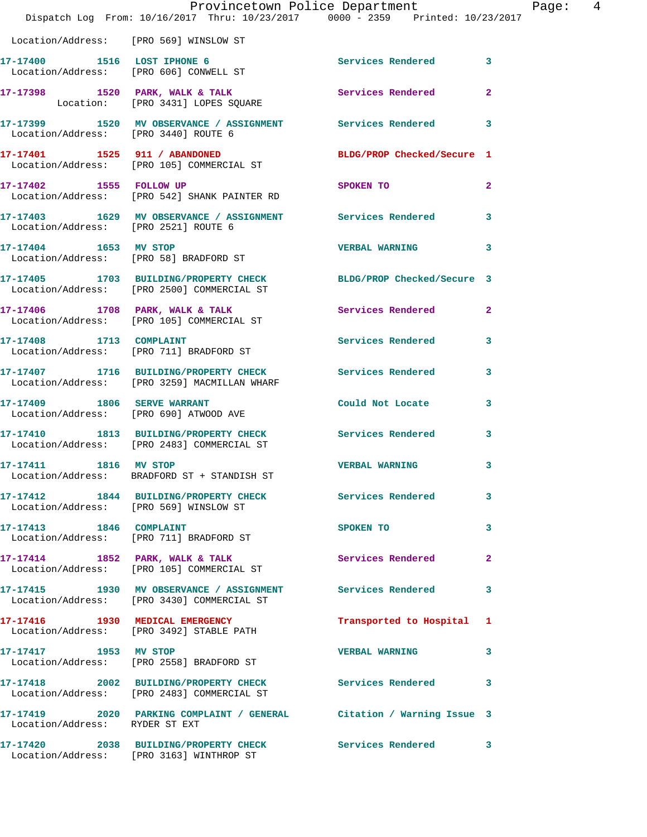|                                        | Provincetown Police Department<br>Dispatch Log From: 10/16/2017 Thru: 10/23/2017 0000 - 2359 Printed: 10/23/2017 |                            |                |
|----------------------------------------|------------------------------------------------------------------------------------------------------------------|----------------------------|----------------|
| Location/Address: [PRO 569] WINSLOW ST |                                                                                                                  |                            |                |
|                                        | 17-17400 1516 LOST IPHONE 6<br>Location/Address: [PRO 606] CONWELL ST                                            | Services Rendered          | 3              |
|                                        | 17-17398 1520 PARK, WALK & TALK<br>Location: [PRO 3431] LOPES SQUARE                                             | Services Rendered          | $\mathbf{2}$   |
|                                        | 17-17399 1520 MV OBSERVANCE / ASSIGNMENT Services Rendered<br>Location/Address: [PRO 3440] ROUTE 6               |                            | 3              |
|                                        | 17-17401 1525 911 / ABANDONED<br>Location/Address: [PRO 105] COMMERCIAL ST                                       | BLDG/PROP Checked/Secure 1 |                |
| 17-17402 1555 FOLLOW UP                | Location/Address: [PRO 542] SHANK PAINTER RD                                                                     | SPOKEN TO                  | $\overline{a}$ |
| Location/Address: [PRO 2521] ROUTE 6   | 17-17403 1629 MV OBSERVANCE / ASSIGNMENT Services Rendered                                                       |                            | 3              |
| 17-17404 1653 MV STOP                  | Location/Address: [PRO 58] BRADFORD ST                                                                           | <b>VERBAL WARNING</b>      | 3              |
|                                        | 17-17405 1703 BUILDING/PROPERTY CHECK BLDG/PROP Checked/Secure 3<br>Location/Address: [PRO 2500] COMMERCIAL ST   |                            |                |
|                                        | 17-17406 1708 PARK, WALK & TALK<br>Location/Address: [PRO 105] COMMERCIAL ST                                     | Services Rendered          | $\overline{2}$ |
| 17-17408 1713 COMPLAINT                | Location/Address: [PRO 711] BRADFORD ST                                                                          | Services Rendered          | 3              |
|                                        | 17-17407 1716 BUILDING/PROPERTY CHECK<br>Location/Address: [PRO 3259] MACMILLAN WHARF                            | Services Rendered          | 3              |
|                                        | 17-17409 1806 SERVE WARRANT<br>Location/Address: [PRO 690] ATWOOD AVE                                            | Could Not Locate           | 3              |
|                                        | 17-17410 1813 BUILDING/PROPERTY CHECK<br>Location/Address: [PRO 2483] COMMERCIAL ST                              | Services Rendered          | 3              |
| 17-17411 1816 MV STOP                  | Location/Address: BRADFORD ST + STANDISH ST                                                                      | <b>VERBAL WARNING</b>      | 3              |
| Location/Address: [PRO 569] WINSLOW ST | 17-17412 1844 BUILDING/PROPERTY CHECK                                                                            | Services Rendered          | 3              |
| 17-17413 1846 COMPLAINT                | Location/Address: [PRO 711] BRADFORD ST                                                                          | SPOKEN TO                  | 3              |
|                                        | 17-17414 1852 PARK, WALK & TALK<br>Location/Address: [PRO 105] COMMERCIAL ST                                     | Services Rendered          | $\overline{a}$ |
|                                        | 17-17415 1930 MV OBSERVANCE / ASSIGNMENT<br>Location/Address: [PRO 3430] COMMERCIAL ST                           | <b>Services Rendered</b>   | 3              |
|                                        | 17-17416 1930 MEDICAL EMERGENCY<br>Location/Address: [PRO 3492] STABLE PATH                                      | Transported to Hospital    | 1              |
| 17-17417 1953 MV STOP                  | Location/Address: [PRO 2558] BRADFORD ST                                                                         | <b>VERBAL WARNING</b>      | 3              |
|                                        | 17-17418 2002 BUILDING/PROPERTY CHECK Services Rendered<br>Location/Address: [PRO 2483] COMMERCIAL ST            |                            | 3              |
| Location/Address: RYDER ST EXT         | 17-17419 2020 PARKING COMPLAINT / GENERAL Citation / Warning Issue 3                                             |                            |                |
|                                        | 17-17420 2038 BUILDING/PROPERTY CHECK<br>Location/Address: [PRO 3163] WINTHROP ST                                | Services Rendered          | 3              |

Page: 4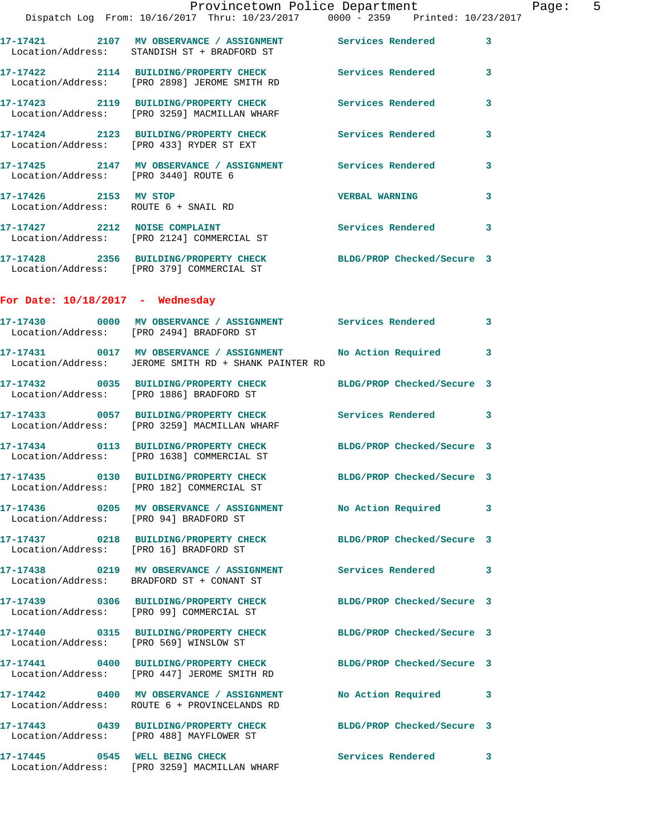|                                                               | Provincetown Police Department<br>Dispatch Log From: 10/16/2017 Thru: 10/23/2017 0000 - 2359 Printed: 10/23/2017 |                            |   |
|---------------------------------------------------------------|------------------------------------------------------------------------------------------------------------------|----------------------------|---|
|                                                               |                                                                                                                  |                            |   |
|                                                               | 17-17421 2107 MV OBSERVANCE / ASSIGNMENT Services Rendered<br>Location/Address: STANDISH ST + BRADFORD ST        |                            | 3 |
|                                                               | 17-17422 2114 BUILDING/PROPERTY CHECK Services Rendered<br>Location/Address: [PRO 2898] JEROME SMITH RD          |                            | 3 |
|                                                               | 17-17423 2119 BUILDING/PROPERTY CHECK Services Rendered<br>Location/Address: [PRO 3259] MACMILLAN WHARF          |                            | 3 |
|                                                               | 17-17424 2123 BUILDING/PROPERTY CHECK Services Rendered<br>Location/Address: [PRO 433] RYDER ST EXT              |                            | 3 |
|                                                               | 17-17425  2147 MV OBSERVANCE / ASSIGNMENT Services Rendered<br>Location/Address: [PRO 3440] ROUTE 6              |                            | 3 |
| 17-17426 2153 MV STOP<br>Location/Address: ROUTE 6 + SNAIL RD |                                                                                                                  | <b>VERBAL WARNING</b>      | 3 |
|                                                               | 17-17427 2212 NOISE COMPLAINT<br>Location/Address: [PRO 2124] COMMERCIAL ST                                      | <b>Services Rendered</b>   | 3 |
|                                                               | 17-17428 2356 BUILDING/PROPERTY CHECK BLDG/PROP Checked/Secure 3<br>Location/Address: [PRO 379] COMMERCIAL ST    |                            |   |
| For Date: $10/18/2017$ - Wednesday                            |                                                                                                                  |                            |   |
|                                                               | 17-17430 0000 MV OBSERVANCE / ASSIGNMENT Services Rendered<br>Location/Address: [PRO 2494] BRADFORD ST           |                            | 3 |
|                                                               | 17-17431 0017 MV OBSERVANCE / ASSIGNMENT<br>Location/Address: JEROME SMITH RD + SHANK PAINTER RD                 | <b>No Action Required</b>  | 3 |
|                                                               | 17-17432 0035 BUILDING/PROPERTY CHECK BLDG/PROP Checked/Secure 3<br>Location/Address: [PRO 1886] BRADFORD ST     |                            |   |
|                                                               | 17-17433 0057 BUILDING/PROPERTY CHECK Services Rendered<br>Location/Address: [PRO 3259] MACMILLAN WHARF          |                            | 3 |
|                                                               | 17-17434 0113 BUILDING/PROPERTY CHECK BLDG/PROP Checked/Secure 3<br>Location/Address: [PRO 1638] COMMERCIAL ST   |                            |   |
|                                                               | 17-17435 0130 BUILDING/PROPERTY CHECK<br>Location/Address: [PRO 182] COMMERCIAL ST                               | BLDG/PROP Checked/Secure 3 |   |
| Location/Address: [PRO 94] BRADFORD ST                        | 17-17436 6205 MV OBSERVANCE / ASSIGNMENT No Action Required                                                      |                            | 3 |
| Location/Address: [PRO 16] BRADFORD ST                        | 17-17437 0218 BUILDING/PROPERTY CHECK                                                                            | BLDG/PROP Checked/Secure 3 |   |
|                                                               | 17-17438 0219 MV OBSERVANCE / ASSIGNMENT Services Rendered<br>Location/Address: BRADFORD ST + CONANT ST          |                            | 3 |
|                                                               | 17-17439 0306 BUILDING/PROPERTY CHECK<br>Location/Address: [PRO 99] COMMERCIAL ST                                | BLDG/PROP Checked/Secure 3 |   |
|                                                               | 17-17440 0315 BUILDING/PROPERTY CHECK<br>Location/Address: [PRO 569] WINSLOW ST                                  | BLDG/PROP Checked/Secure 3 |   |
|                                                               | 17-17441 0400 BUILDING/PROPERTY CHECK BLDG/PROP Checked/Secure 3<br>Location/Address: [PRO 447] JEROME SMITH RD  |                            |   |
|                                                               | 17-17442 0400 MV OBSERVANCE / ASSIGNMENT<br>Location/Address: ROUTE 6 + PROVINCELANDS RD                         | No Action Required         | 3 |
|                                                               | 17-17443 0439 BUILDING/PROPERTY CHECK BLDG/PROP Checked/Secure 3<br>Location/Address: [PRO 488] MAYFLOWER ST     |                            |   |

**17-17445 0545 WELL BEING CHECK Services Rendered 3**  Location/Address: [PRO 3259] MACMILLAN WHARF

Page:  $5$ <br>017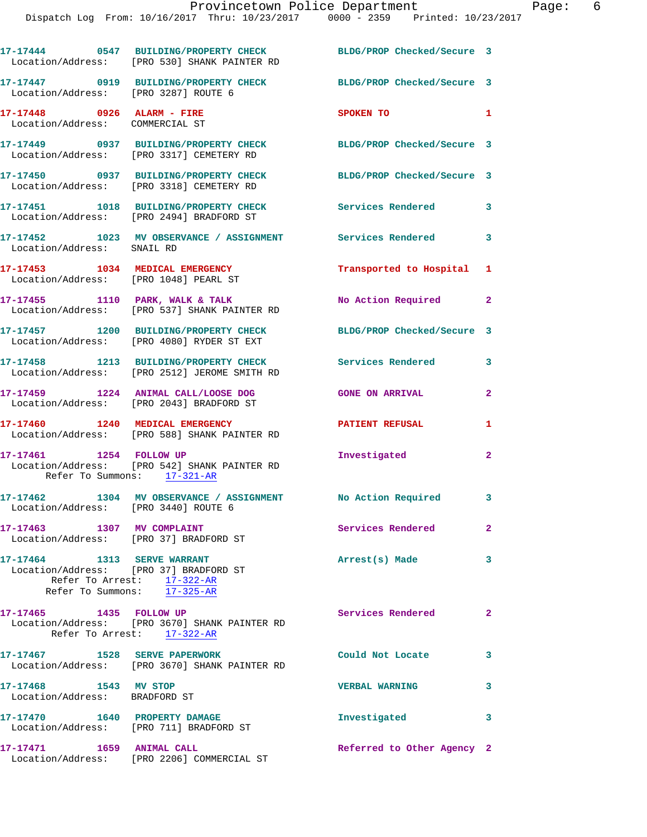|                                                               | 17-17444 0547 BUILDING/PROPERTY CHECK<br>Location/Address: [PRO 530] SHANK PAINTER RD               | BLDG/PROP Checked/Secure 3 |                |
|---------------------------------------------------------------|-----------------------------------------------------------------------------------------------------|----------------------------|----------------|
| Location/Address: [PRO 3287] ROUTE 6                          | 17-17447 0919 BUILDING/PROPERTY CHECK                                                               | BLDG/PROP Checked/Secure 3 |                |
| 17-17448 0926 ALARM - FIRE<br>Location/Address: COMMERCIAL ST |                                                                                                     | <b>SPOKEN TO</b>           | $\mathbf{1}$   |
|                                                               | 17-17449 0937 BUILDING/PROPERTY CHECK<br>Location/Address: [PRO 3317] CEMETERY RD                   | BLDG/PROP Checked/Secure 3 |                |
|                                                               | 17-17450 0937 BUILDING/PROPERTY CHECK<br>Location/Address: [PRO 3318] CEMETERY RD                   | BLDG/PROP Checked/Secure 3 |                |
|                                                               | 17-17451 1018 BUILDING/PROPERTY CHECK<br>Location/Address: [PRO 2494] BRADFORD ST                   | Services Rendered          | 3              |
| Location/Address: SNAIL RD                                    | 17-17452 1023 MV OBSERVANCE / ASSIGNMENT Services Rendered 3                                        |                            |                |
| Location/Address: [PRO 1048] PEARL ST                         | 17-17453 1034 MEDICAL EMERGENCY                                                                     | Transported to Hospital 1  |                |
|                                                               | 17-17455 1110 PARK, WALK & TALK<br>Location/Address: [PRO 537] SHANK PAINTER RD                     | No Action Required         | $\mathbf{2}$   |
|                                                               | 17-17457 1200 BUILDING/PROPERTY CHECK<br>Location/Address: [PRO 4080] RYDER ST EXT                  | BLDG/PROP Checked/Secure 3 |                |
|                                                               | 17-17458 1213 BUILDING/PROPERTY CHECK<br>Location/Address: [PRO 2512] JEROME SMITH RD               | <b>Services Rendered</b>   | 3              |
|                                                               | 17-17459 1224 ANIMAL CALL/LOOSE DOG<br>Location/Address: [PRO 2043] BRADFORD ST                     | <b>GONE ON ARRIVAL</b>     | $\overline{2}$ |
|                                                               | 17-17460 1240 MEDICAL EMERGENCY<br>Location/Address: [PRO 588] SHANK PAINTER RD                     | <b>PATIENT REFUSAL</b>     | 1              |
| 17-17461 1254 FOLLOW UP<br>Refer To Summons: 17-321-AR        | Location/Address: [PRO 542] SHANK PAINTER RD                                                        | Investigated               | $\mathbf{2}$   |
| Location/Address: [PRO 3440] ROUTE 6                          | 17-17462 1304 MV OBSERVANCE / ASSIGNMENT No Action Required 3                                       |                            |                |
| 17-17463 1307 MV COMPLAINT                                    | Location/Address: [PRO 37] BRADFORD ST                                                              | Services Rendered 2        |                |
| 17-17464 1313 SERVE WARRANT                                   | Location/Address: [PRO 37] BRADFORD ST<br>Refer To Arrest: 17-322-AR<br>Refer To Summons: 17-325-AR | Arrest(s) Made             | 3              |
| 17-17465 1435 FOLLOW UP                                       | Location/Address: [PRO 3670] SHANK PAINTER RD<br>Refer To Arrest: 17-322-AR                         | Services Rendered          | $\mathbf{2}$   |
| 17-17467 1528 SERVE PAPERWORK                                 | Location/Address: [PRO 3670] SHANK PAINTER RD                                                       | Could Not Locate           | 3              |
| 17-17468 1543 MV STOP<br>Location/Address: BRADFORD ST        |                                                                                                     | <b>VERBAL WARNING</b>      | 3              |
| 17-17470   1640   PROPERTY DAMAGE                             | Location/Address: [PRO 711] BRADFORD ST                                                             | Investigated               | 3              |
| 17-17471 1659 ANIMAL CALL                                     | Location/Address: [PRO 2206] COMMERCIAL ST                                                          | Referred to Other Agency 2 |                |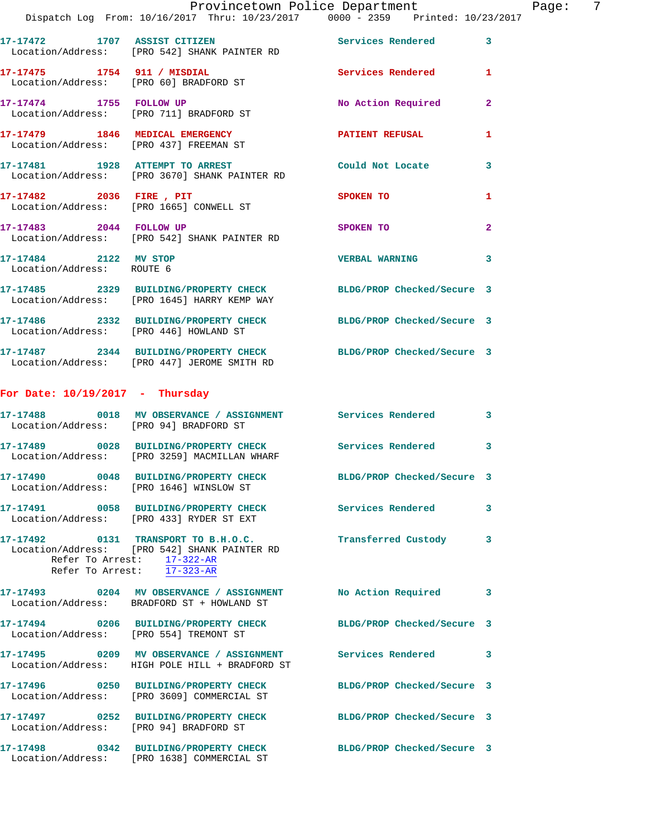|                                                    |                                                                                                           | Provincetown Police Department<br>Dispatch Log From: 10/16/2017 Thru: 10/23/2017 0000 - 2359 Printed: 10/23/2017 | Page: 7        |
|----------------------------------------------------|-----------------------------------------------------------------------------------------------------------|------------------------------------------------------------------------------------------------------------------|----------------|
|                                                    | 17-17472 1707 ASSIST CITIZEN Services Rendered<br>Location/Address: [PRO 542] SHANK PAINTER RD            |                                                                                                                  | $\mathbf{3}$   |
|                                                    | Location/Address: [PRO 60] BRADFORD ST                                                                    | 17-17475 1754 911 / MISDIAL 120 Services Rendered 1                                                              |                |
|                                                    | 17-17474 1755 FOLLOW UP<br>Location/Address: [PRO 711] BRADFORD ST                                        | No Action Required 2                                                                                             |                |
|                                                    | 17-17479 1846 MEDICAL EMERGENCY PATIENT REFUSAL Location/Address: [PRO 437] FREEMAN ST                    |                                                                                                                  | $\mathbf{1}$   |
|                                                    |                                                                                                           | 17-17481 1928 ATTEMPT TO ARREST Could Not Locate 3<br>Location/Address: [PRO 3670] SHANK PAINTER RD              |                |
|                                                    | 17-17482 2036 FIRE, PIT SPOKEN TO<br>Location/Address: [PRO 1665] CONWELL ST                              |                                                                                                                  | 1              |
|                                                    | 17-17483 2044 FOLLOW UP<br>Location/Address: [PRO 542] SHANK PAINTER RD                                   | SPOKEN TO                                                                                                        | $\overline{a}$ |
| 17-17484 2122 MV STOP<br>Location/Address: ROUTE 6 |                                                                                                           | <b>VERBAL WARNING</b>                                                                                            | 3              |
|                                                    | Location/Address: [PRO 1645] HARRY KEMP WAY                                                               | 17-17485 2329 BUILDING/PROPERTY CHECK BLDG/PROP Checked/Secure 3                                                 |                |
|                                                    | Location/Address: [PRO 446] HOWLAND ST                                                                    | 17-17486 2332 BUILDING/PROPERTY CHECK BLDG/PROP Checked/Secure 3                                                 |                |
|                                                    | Location/Address: [PRO 447] JEROME SMITH RD                                                               | 17-17487 2344 BUILDING/PROPERTY CHECK BLDG/PROP Checked/Secure 3                                                 |                |
| For Date: $10/19/2017$ - Thursday                  |                                                                                                           |                                                                                                                  |                |
|                                                    | Location/Address: [PRO 94] BRADFORD ST                                                                    | 17-17488 0018 MV OBSERVANCE / ASSIGNMENT Services Rendered 3                                                     |                |
|                                                    | 17-17489 0028 BUILDING/PROPERTY CHECK Services Rendered<br>Location/Address: [PRO 3259] MACMILLAN WHARF   |                                                                                                                  | $\mathbf{3}$   |
|                                                    | 17-17490 0048 BUILDING/PROPERTY CHECK<br>Location/Address: [PRO 1646] WINSLOW ST                          | BLDG/PROP Checked/Secure 3                                                                                       |                |
|                                                    | 17-17491 0058 BUILDING/PROPERTY CHECK Services Rendered<br>Location/Address: [PRO 433] RYDER ST EXT       |                                                                                                                  | 3              |
| Refer To Arrest: 17-323-AR                         | Location/Address: [PRO 542] SHANK PAINTER RD<br>Refer To Arrest: 17-322-AR                                | 17-17492 0131 TRANSPORT TO B.H.O.C. Transferred Custody 3                                                        |                |
|                                                    | 17-17493 0204 MV OBSERVANCE / ASSIGNMENT No Action Required<br>Location/Address: BRADFORD ST + HOWLAND ST |                                                                                                                  | 3              |
|                                                    | Location/Address: [PRO 554] TREMONT ST                                                                    | 17-17494 0206 BUILDING/PROPERTY CHECK BLDG/PROP Checked/Secure 3                                                 |                |
|                                                    | Location/Address: HIGH POLE HILL + BRADFORD ST                                                            | 17-17495 0209 MV OBSERVANCE / ASSIGNMENT Services Rendered 3                                                     |                |
|                                                    | Location/Address: [PRO 3609] COMMERCIAL ST                                                                | 17-17496 0250 BUILDING/PROPERTY CHECK BLDG/PROP Checked/Secure 3                                                 |                |
| Location/Address: [PRO 94] BRADFORD ST             |                                                                                                           | 17-17497 0252 BUILDING/PROPERTY CHECK BLDG/PROP Checked/Secure 3                                                 |                |
|                                                    | Location/Address: [PRO 1638] COMMERCIAL ST                                                                | 17-17498 0342 BUILDING/PROPERTY CHECK BLDG/PROP Checked/Secure 3                                                 |                |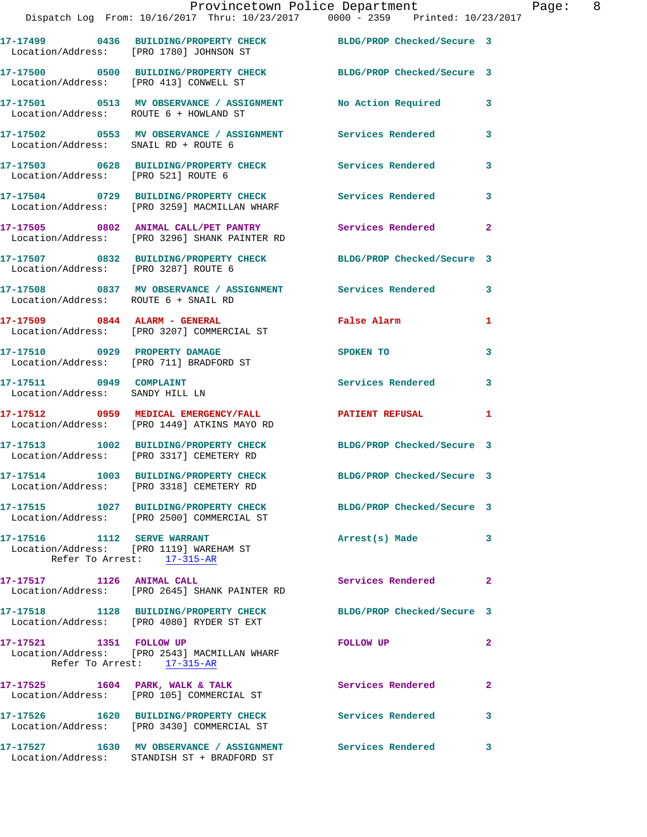|                                                            | Provincetown Police Department<br>Dispatch Log From: 10/16/2017 Thru: 10/23/2017 0000 - 2359 Printed: 10/23/2017 |                            |              |
|------------------------------------------------------------|------------------------------------------------------------------------------------------------------------------|----------------------------|--------------|
| Location/Address: [PRO 1780] JOHNSON ST                    | 17-17499 0436 BUILDING/PROPERTY CHECK BLDG/PROP Checked/Secure 3                                                 |                            |              |
| Location/Address: [PRO 413] CONWELL ST                     | 17-17500 0500 BUILDING/PROPERTY CHECK BLDG/PROP Checked/Secure 3                                                 |                            |              |
|                                                            | 17-17501 0513 MV OBSERVANCE / ASSIGNMENT No Action Required<br>Location/Address: ROUTE 6 + HOWLAND ST            |                            | 3            |
| Location/Address: SNAIL RD + ROUTE 6                       | 17-17502 0553 MV OBSERVANCE / ASSIGNMENT Services Rendered                                                       |                            | 3            |
| Location/Address: [PRO 521] ROUTE 6                        | 17-17503 0628 BUILDING/PROPERTY CHECK Services Rendered                                                          |                            | 3            |
|                                                            | 17-17504 0729 BUILDING/PROPERTY CHECK Services Rendered<br>Location/Address: [PRO 3259] MACMILLAN WHARF          |                            | 3            |
|                                                            | 17-17505 0802 ANIMAL CALL/PET PANTRY Services Rendered<br>Location/Address: [PRO 3296] SHANK PAINTER RD          |                            | $\mathbf{2}$ |
| Location/Address: [PRO 3287] ROUTE 6                       | 17-17507 0832 BUILDING/PROPERTY CHECK BLDG/PROP Checked/Secure 3                                                 |                            |              |
| Location/Address: ROUTE 6 + SNAIL RD                       | 17-17508 0837 MV OBSERVANCE / ASSIGNMENT Services Rendered                                                       |                            | 3            |
|                                                            | 17-17509 0844 ALARM - GENERAL<br>Location/Address: [PRO 3207] COMMERCIAL ST                                      | <b>False Alarm</b>         | 1            |
| Location/Address: [PRO 711] BRADFORD ST                    | 17-17510 0929 PROPERTY DAMAGE                                                                                    | SPOKEN TO                  | 3            |
| 17-17511 0949 COMPLAINT<br>Location/Address: SANDY HILL LN |                                                                                                                  | <b>Services Rendered</b>   | 3            |
|                                                            | 17-17512 0959 MEDICAL EMERGENCY/FALL <b>FATIENT REFUSAL</b><br>Location/Address: [PRO 1449] ATKINS MAYO RD       |                            | 1            |
|                                                            | 17-17513 1002 BUILDING/PROPERTY CHECK BLDG/PROP Checked/Secure 3<br>Location/Address: [PRO 3317] CEMETERY RD     |                            |              |
|                                                            | 17-17514 1003 BUILDING/PROPERTY CHECK<br>Location/Address: [PRO 3318] CEMETERY RD                                | BLDG/PROP Checked/Secure 3 |              |
|                                                            | 17-17515 1027 BUILDING/PROPERTY CHECK BLDG/PROP Checked/Secure 3<br>Location/Address: [PRO 2500] COMMERCIAL ST   |                            |              |
| 17-17516 1112 SERVE WARRANT                                | Location/Address: [PRO 1119] WAREHAM ST<br>Refer To Arrest: 17-315-AR                                            | Arrest(s) Made             | 3            |
| 17-17517 1126 ANIMAL CALL                                  | Location/Address: [PRO 2645] SHANK PAINTER RD                                                                    | Services Rendered          | $\mathbf{2}$ |
|                                                            | 17-17518 1128 BUILDING/PROPERTY CHECK<br>Location/Address: [PRO 4080] RYDER ST EXT                               | BLDG/PROP Checked/Secure 3 |              |
| 17-17521 1351 FOLLOW UP                                    | Location/Address: [PRO 2543] MACMILLAN WHARF<br>Refer To Arrest: 17-315-AR                                       | <b>FOLLOW UP</b>           | $\mathbf{2}$ |
|                                                            | 17-17525 1604 PARK, WALK & TALK<br>Location/Address: [PRO 105] COMMERCIAL ST                                     | Services Rendered          | $\mathbf{2}$ |
|                                                            | 17-17526 1620 BUILDING/PROPERTY CHECK Services Rendered<br>Location/Address: [PRO 3430] COMMERCIAL ST            |                            | 3            |
|                                                            |                                                                                                                  |                            | 3            |

Location/Address: STANDISH ST + BRADFORD ST

Page: 8<br>017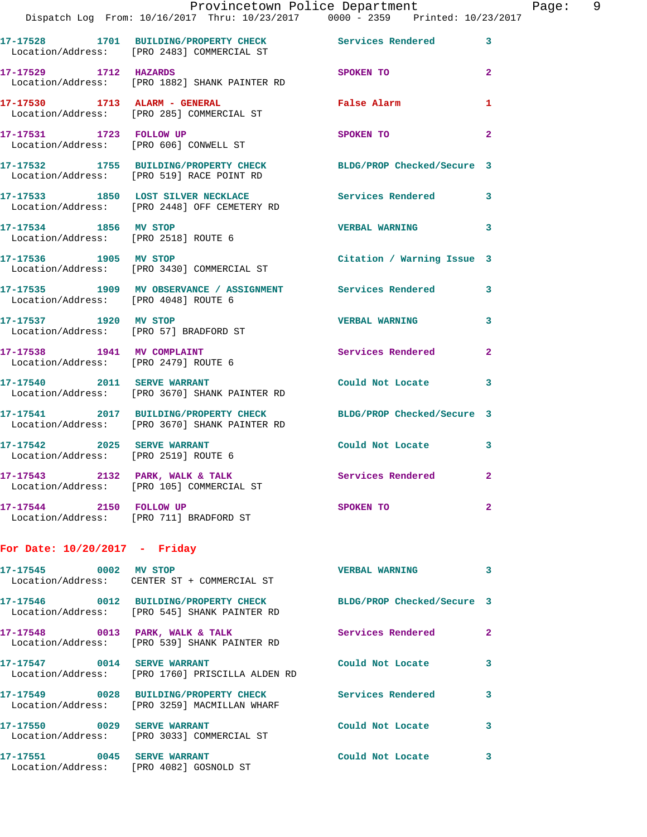|                                                                     | Provincetown Police Department<br>Dispatch Log From: 10/16/2017 Thru: 10/23/2017 0000 - 2359 Printed: 10/23/2017  |                            |                |
|---------------------------------------------------------------------|-------------------------------------------------------------------------------------------------------------------|----------------------------|----------------|
|                                                                     | 17-17528 1701 BUILDING/PROPERTY CHECK Services Rendered<br>Location/Address: [PRO 2483] COMMERCIAL ST             |                            | 3              |
| 17-17529 1712 HAZARDS                                               | Location/Address: [PRO 1882] SHANK PAINTER RD                                                                     | SPOKEN TO                  | $\overline{2}$ |
|                                                                     | 17-17530 1713 ALARM - GENERAL<br>Location/Address: [PRO 285] COMMERCIAL ST                                        | False Alarm                | 1              |
| 17-17531 1723 FOLLOW UP                                             | Location/Address: [PRO 606] CONWELL ST                                                                            | SPOKEN TO                  | $\mathbf{2}$   |
|                                                                     | 17-17532 1755 BUILDING/PROPERTY CHECK BLDG/PROP Checked/Secure 3<br>Location/Address: [PRO 519] RACE POINT RD     |                            |                |
|                                                                     | 17-17533 1850 LOST SILVER NECKLACE<br>Location/Address: [PRO 2448] OFF CEMETERY RD                                | Services Rendered          | 3              |
| 17-17534 1856 MV STOP<br>Location/Address: [PRO 2518] ROUTE 6       |                                                                                                                   | <b>VERBAL WARNING</b>      | 3              |
| 17-17536 1905 MV STOP                                               | Location/Address: [PRO 3430] COMMERCIAL ST                                                                        | Citation / Warning Issue 3 |                |
| Location/Address: [PRO 4048] ROUTE 6                                | 17-17535 1909 MV OBSERVANCE / ASSIGNMENT Services Rendered                                                        |                            | 3              |
| 17-17537 1920 MV STOP<br>Location/Address: [PRO 57] BRADFORD ST     |                                                                                                                   | <b>VERBAL WARNING</b>      | 3              |
| 17-17538 1941 MV COMPLAINT<br>Location/Address: [PRO 2479] ROUTE 6  |                                                                                                                   | Services Rendered          | $\mathbf{2}$   |
| 17-17540 2011 SERVE WARRANT                                         | Location/Address: [PRO 3670] SHANK PAINTER RD                                                                     | Could Not Locate           | 3              |
|                                                                     | 17-17541 2017 BUILDING/PROPERTY CHECK BLDG/PROP Checked/Secure 3<br>Location/Address: [PRO 3670] SHANK PAINTER RD |                            |                |
| 17-17542 2025 SERVE WARRANT<br>Location/Address: [PRO 2519] ROUTE 6 |                                                                                                                   | Could Not Locate           | 3              |
| 17-17543 2132 PARK, WALK & TALK                                     | Location/Address: [PRO 105] COMMERCIAL ST                                                                         | Services Rendered          | $\mathbf{2}$   |
| 17-17544 2150 FOLLOW UP<br>Location/Address: [PRO 711] BRADFORD ST  |                                                                                                                   | SPOKEN TO                  | $\mathbf{2}$   |
| For Date: $10/20/2017$ - Friday                                     |                                                                                                                   |                            |                |
| 17-17545 0002 MV STOP                                               | Location/Address: CENTER ST + COMMERCIAL ST                                                                       | <b>VERBAL WARNING</b>      | 3              |
|                                                                     | 17-17546 0012 BUILDING/PROPERTY CHECK<br>Location/Address: [PRO 545] SHANK PAINTER RD                             | BLDG/PROP Checked/Secure 3 |                |
| 17-17548 0013 PARK, WALK & TALK                                     | Location/Address: [PRO 539] SHANK PAINTER RD                                                                      | Services Rendered          | $\mathbf{2}$   |

**17-17547 0014 SERVE WARRANT Could Not Locate 3**  Location/Address: [PRO 1760] PRISCILLA ALDEN RD

**17-17549 0028 BUILDING/PROPERTY CHECK Services Rendered 3**  Location/Address: [PRO 3259] MACMILLAN WHARF

**17-17550 0029 SERVE WARRANT Could Not Locate 3**  Location/Address: [PRO 3033] COMMERCIAL ST

**17-17551 0045 SERVE WARRANT Could Not Locate 3**  Location/Address: [PRO 4082] GOSNOLD ST

Page: 9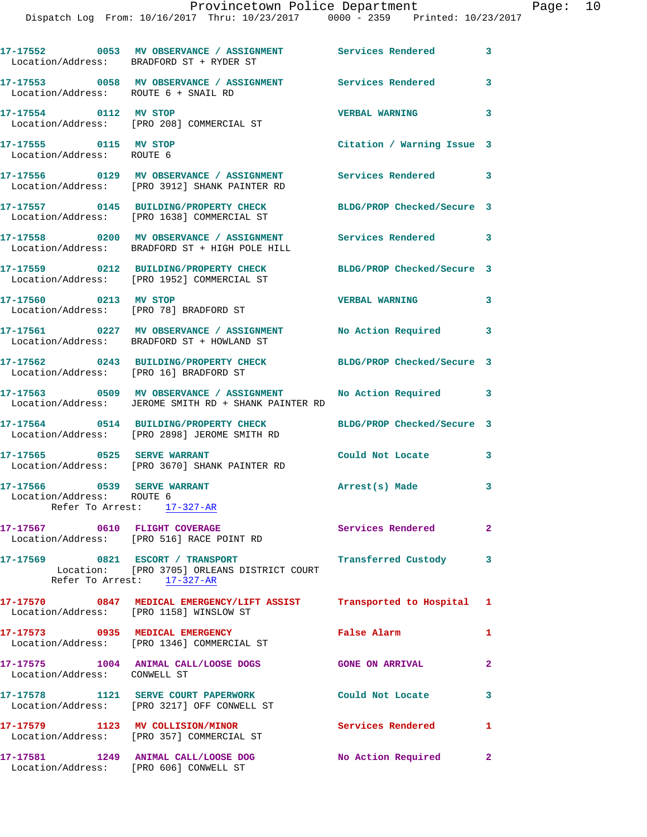|                                                          | 17-17552 0053 MV OBSERVANCE / ASSIGNMENT Services Rendered<br>Location/Address: BRADFORD ST + RYDER ST                              |                            | 3              |
|----------------------------------------------------------|-------------------------------------------------------------------------------------------------------------------------------------|----------------------------|----------------|
|                                                          | 17-17553 0058 MV OBSERVANCE / ASSIGNMENT Services Rendered<br>Location/Address: ROUTE 6 + SNAIL RD                                  |                            | 3              |
| 17-17554 0112 MV STOP                                    | Location/Address: [PRO 208] COMMERCIAL ST                                                                                           | <b>VERBAL WARNING</b>      | 3              |
| 17-17555 0115 MV STOP<br>Location/Address: ROUTE 6       |                                                                                                                                     | Citation / Warning Issue 3 |                |
|                                                          | 17-17556 0129 MV OBSERVANCE / ASSIGNMENT Services Rendered<br>Location/Address: [PRO 3912] SHANK PAINTER RD                         |                            | 3              |
|                                                          | 17-17557 0145 BUILDING/PROPERTY CHECK<br>Location/Address: [PRO 1638] COMMERCIAL ST                                                 | BLDG/PROP Checked/Secure 3 |                |
|                                                          | 17-17558 0200 MV OBSERVANCE / ASSIGNMENT Services Rendered 3<br>Location/Address: BRADFORD ST + HIGH POLE HILL                      |                            |                |
|                                                          | 17-17559 0212 BUILDING/PROPERTY CHECK BLDG/PROP Checked/Secure 3<br>Location/Address: [PRO 1952] COMMERCIAL ST                      |                            |                |
| 17-17560 0213 MV STOP                                    | Location/Address: [PRO 78] BRADFORD ST                                                                                              | <b>VERBAL WARNING</b>      | 3              |
|                                                          | 17-17561 0227 MV OBSERVANCE / ASSIGNMENT No Action Required<br>Location/Address: BRADFORD ST + HOWLAND ST                           |                            | 3              |
|                                                          | 17-17562 0243 BUILDING/PROPERTY CHECK BLDG/PROP Checked/Secure 3<br>Location/Address: [PRO 16] BRADFORD ST                          |                            |                |
|                                                          | 17-17563 0509 MV OBSERVANCE / ASSIGNMENT<br>Location/Address: JEROME SMITH RD + SHANK PAINTER RD                                    | No Action Required         | 3              |
|                                                          | 17-17564 0514 BUILDING/PROPERTY CHECK<br>Location/Address: [PRO 2898] JEROME SMITH RD                                               | BLDG/PROP Checked/Secure 3 |                |
| 17-17565 0525 SERVE WARRANT                              | Location/Address: [PRO 3670] SHANK PAINTER RD                                                                                       | Could Not Locate           | 3              |
| 17-17566 0539 SERVE WARRANT<br>Location/Address: ROUTE 6 | Refer To Arrest: 17-327-AR                                                                                                          | Arrest(s) Made             | 3              |
|                                                          | 17-17567 0610 FLIGHT COVERAGE<br>Location/Address: [PRO 516] RACE POINT RD                                                          | Services Rendered 2        |                |
|                                                          | 17-17569 0821 ESCORT / TRANSPORT Transferred Custody 3<br>Location: [PRO 3705] ORLEANS DISTRICT COURT<br>Refer To Arrest: 17-327-AR |                            |                |
|                                                          | 17-17570 0847 MEDICAL EMERGENCY/LIFT ASSIST Transported to Hospital 1 Location/Address: [PRO 1158] WINSLOW ST                       |                            |                |
|                                                          | 17-17573 0935 MEDICAL EMERGENCY<br>Location/Address: [PRO 1346] COMMERCIAL ST                                                       | <b>False Alarm</b>         | $\mathbf{1}$   |
| Location/Address: CONWELL ST                             | 17-17575 1004 ANIMAL CALL/LOOSE DOGS GONE ON ARRIVAL                                                                                |                            | $\overline{2}$ |
|                                                          | 17-17578 1121 SERVE COURT PAPERWORK<br>Location/Address: [PRO 3217] OFF CONWELL ST                                                  | Could Not Locate           | 3              |
|                                                          | 17-17579 1123 MV COLLISION/MINOR<br>Location/Address: [PRO 357] COMMERCIAL ST                                                       | Services Rendered 1        |                |
|                                                          | 17-17581 1249 ANIMAL CALL/LOOSE DOG<br>Location/Address: [PRO 606] CONWELL ST                                                       | No Action Required 2       |                |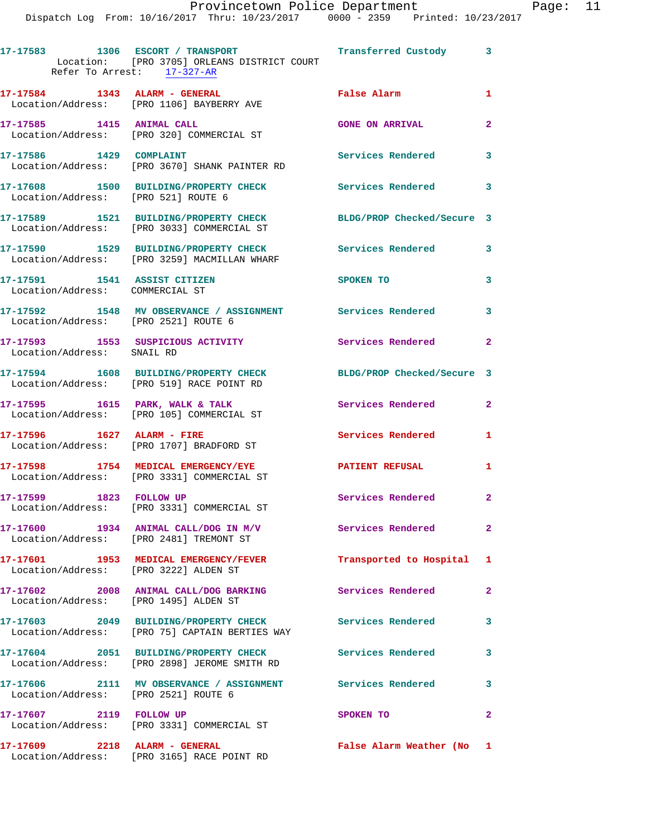|                                                                 | 17-17583 1306 ESCORT / TRANSPORT 17 Transferred Custody 3<br>Location: [PRO 3705] ORLEANS DISTRICT COURT<br>Refer To Arrest: 17-327-AR |                            |                            |
|-----------------------------------------------------------------|----------------------------------------------------------------------------------------------------------------------------------------|----------------------------|----------------------------|
|                                                                 | 17-17584 1343 ALARM - GENERAL<br>Location/Address: [PRO 1106] BAYBERRY AVE                                                             | <b>False Alarm</b>         | 1                          |
| 17-17585 1415 ANIMAL CALL                                       | Location/Address: [PRO 320] COMMERCIAL ST                                                                                              | <b>GONE ON ARRIVAL</b>     | $\mathbf{2}$               |
| 17-17586 1429 COMPLAINT                                         | Location/Address: [PRO 3670] SHANK PAINTER RD                                                                                          | Services Rendered          | $\mathbf{3}$               |
| Location/Address: [PRO 521] ROUTE 6                             | 17-17608 1500 BUILDING/PROPERTY CHECK                                                                                                  | Services Rendered 3        |                            |
|                                                                 | 17-17589 1521 BUILDING/PROPERTY CHECK<br>Location/Address: [PRO 3033] COMMERCIAL ST                                                    | BLDG/PROP Checked/Secure 3 |                            |
|                                                                 | 17-17590 1529 BUILDING/PROPERTY CHECK<br>Location/Address: [PRO 3259] MACMILLAN WHARF                                                  | Services Rendered          | $\mathbf{3}$               |
| 17-17591 1541 ASSIST CITIZEN<br>Location/Address: COMMERCIAL ST |                                                                                                                                        | SPOKEN TO                  | 3                          |
| Location/Address: [PRO 2521] ROUTE 6                            | 17-17592 1548 MV OBSERVANCE / ASSIGNMENT Services Rendered                                                                             |                            | $\overline{\phantom{a}}$ 3 |
| Location/Address: SNAIL RD                                      | 17-17593 1553 SUSPICIOUS ACTIVITY                                                                                                      | Services Rendered          | $\mathbf{2}$               |
|                                                                 | 17-17594 1608 BUILDING/PROPERTY CHECK<br>Location/Address: [PRO 519] RACE POINT RD                                                     | BLDG/PROP Checked/Secure 3 |                            |
|                                                                 | 17-17595 1615 PARK, WALK & TALK<br>Location/Address: [PRO 105] COMMERCIAL ST                                                           | Services Rendered          | $\mathbf{2}$               |
| 17-17596 1627 ALARM - FIRE                                      | Location/Address: [PRO 1707] BRADFORD ST                                                                                               | Services Rendered          | 1                          |
|                                                                 | 17-17598 1754 MEDICAL EMERGENCY/EYE<br>Location/Address: [PRO 3331] COMMERCIAL ST                                                      | <b>PATIENT REFUSAL</b>     | 1                          |
| 17-17599 1823 FOLLOW UP                                         | Location/Address: [PRO 3331] COMMERCIAL ST                                                                                             | Services Rendered          | $\overline{2}$             |
|                                                                 | $17-17600$ 1934 ANIMAL CALL/DOG IN M/V<br>Location/Address: [PRO 2481] TREMONT ST                                                      | Services Rendered          | $\mathbf{2}$               |
| Location/Address: [PRO 3222] ALDEN ST                           | 17-17601 1953 MEDICAL EMERGENCY/FEVER                                                                                                  | Transported to Hospital 1  |                            |
| Location/Address: [PRO 1495] ALDEN ST                           | 17-17602 2008 ANIMAL CALL/DOG BARKING                                                                                                  | <b>Services Rendered</b>   | $\mathbf{2}$               |
|                                                                 | 17-17603 2049 BUILDING/PROPERTY CHECK<br>Location/Address: [PRO 75] CAPTAIN BERTIES WAY                                                | <b>Services Rendered</b>   | $\mathbf{3}$               |
|                                                                 | 17-17604 2051 BUILDING/PROPERTY CHECK<br>Location/Address: [PRO 2898] JEROME SMITH RD                                                  | <b>Services Rendered</b>   | 3                          |
| Location/Address: [PRO 2521] ROUTE 6                            | 17-17606 2111 MV OBSERVANCE / ASSIGNMENT Services Rendered 3                                                                           |                            |                            |
| 17-17607 2119 FOLLOW UP                                         | Location/Address: [PRO 3331] COMMERCIAL ST                                                                                             | SPOKEN TO                  | $\mathbf{2}$               |
| 17-17609 2218 ALARM - GENERAL                                   | Location/Address: [PRO 3165] RACE POINT RD                                                                                             | False Alarm Weather (No 1  |                            |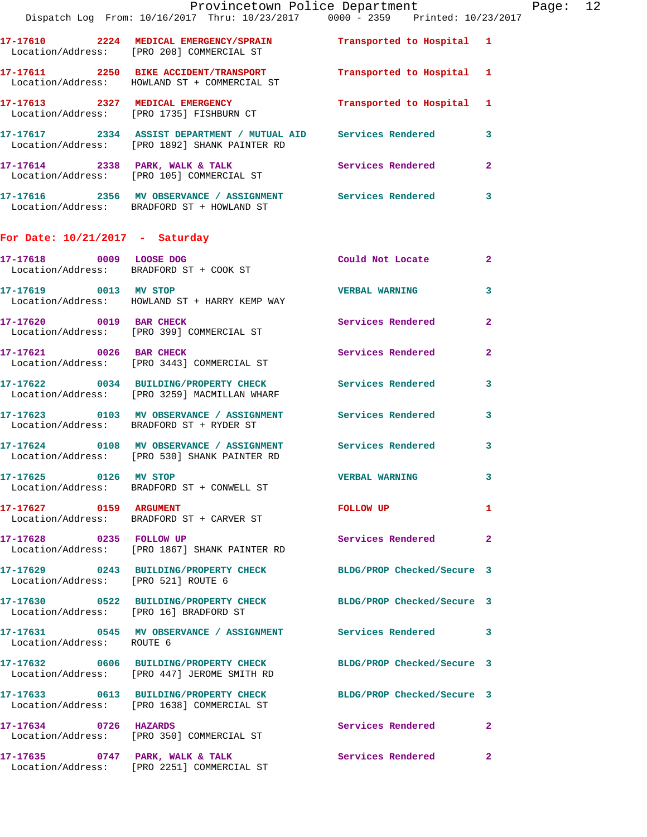|                                        | Dispatch Log From: 10/16/2017 Thru: 10/23/2017 0000 - 2359 Printed: 10/23/2017                                 | Provincetown Police Department |                         | Page: 12 |  |
|----------------------------------------|----------------------------------------------------------------------------------------------------------------|--------------------------------|-------------------------|----------|--|
|                                        | 17-17610 2224 MEDICAL EMERGENCY/SPRAIN Transported to Hospital 1<br>Location/Address: [PRO 208] COMMERCIAL ST  |                                |                         |          |  |
|                                        | 17-17611 2250 BIKE ACCIDENT/TRANSPORT<br>Location/Address: HOWLAND ST + COMMERCIAL ST                          | Transported to Hospital 1      |                         |          |  |
|                                        |                                                                                                                | Transported to Hospital 1      |                         |          |  |
|                                        |                                                                                                                |                                | 3                       |          |  |
|                                        |                                                                                                                | Services Rendered 2            |                         |          |  |
|                                        | 17-17616 2356 MV OBSERVANCE / ASSIGNMENT Services Rendered<br>Location/Address: BRADFORD ST + HOWLAND ST       |                                | 3                       |          |  |
| For Date: $10/21/2017$ - Saturday      |                                                                                                                |                                |                         |          |  |
|                                        | 17-17618 0009 LOOSE DOG<br>Location/Address: BRADFORD ST + COOK ST                                             | Could Not Locate               | $\overline{\mathbf{2}}$ |          |  |
|                                        | 17-17619 0013 MV STOP<br>Location/Address: HOWLAND ST + HARRY KEMP WAY                                         | <b>VERBAL WARNING</b>          | 3                       |          |  |
|                                        | 17-17620 0019 BAR CHECK<br>Location/Address: [PRO 399] COMMERCIAL ST                                           | <b>Services Rendered</b>       | $\overline{2}$          |          |  |
|                                        | 17-17621 0026 BAR CHECK<br>Location/Address: [PRO 3443] COMMERCIAL ST                                          | Services Rendered              | $\overline{2}$          |          |  |
|                                        | 17-17622 0034 BUILDING/PROPERTY CHECK Services Rendered<br>Location/Address: [PRO 3259] MACMILLAN WHARF        |                                | 3                       |          |  |
|                                        | 17-17623 0103 MV OBSERVANCE / ASSIGNMENT Services Rendered<br>Location/Address: BRADFORD ST + RYDER ST         |                                | $\mathbf{3}$            |          |  |
|                                        | 17-17624 0108 MV OBSERVANCE / ASSIGNMENT Services Rendered<br>Location/Address: [PRO 530] SHANK PAINTER RD     |                                | 3                       |          |  |
|                                        | 17-17625 0126 MV STOP<br>Location/Address: BRADFORD ST + CONWELL ST                                            | <b>VERBAL WARNING</b>          |                         |          |  |
| 17-17627 0159 ARGUMENT                 | Location/Address: BRADFORD ST + CARVER ST                                                                      | FOLLOW UP                      | $\mathbf{1}$            |          |  |
| 17-17628 0235 FOLLOW UP                | Location/Address: [PRO 1867] SHANK PAINTER RD                                                                  | Services Rendered              | $\mathbf{2}$            |          |  |
| Location/Address: [PRO 521] ROUTE 6    | 17-17629 0243 BUILDING/PROPERTY CHECK BLDG/PROP Checked/Secure 3                                               |                                |                         |          |  |
| Location/Address: [PRO 16] BRADFORD ST | 17-17630 0522 BUILDING/PROPERTY CHECK BLDG/PROP Checked/Secure 3                                               |                                |                         |          |  |
| Location/Address: ROUTE 6              | 17-17631 0545 MV OBSERVANCE / ASSIGNMENT Services Rendered                                                     |                                | 3                       |          |  |
|                                        | 17-17632 0606 BUILDING/PROPERTY CHECK<br>Location/Address: [PRO 447] JEROME SMITH RD                           | BLDG/PROP Checked/Secure 3     |                         |          |  |
|                                        | 17-17633 0613 BUILDING/PROPERTY CHECK BLDG/PROP Checked/Secure 3<br>Location/Address: [PRO 1638] COMMERCIAL ST |                                |                         |          |  |
| 17-17634 0726 HAZARDS                  | Location/Address: [PRO 350] COMMERCIAL ST                                                                      | Services Rendered              | $\mathbf{2}$            |          |  |
|                                        | 17-17635 0747 PARK, WALK & TALK 3 Services Rendered<br>Location/Address: [PRO 2251] COMMERCIAL ST              |                                | 2                       |          |  |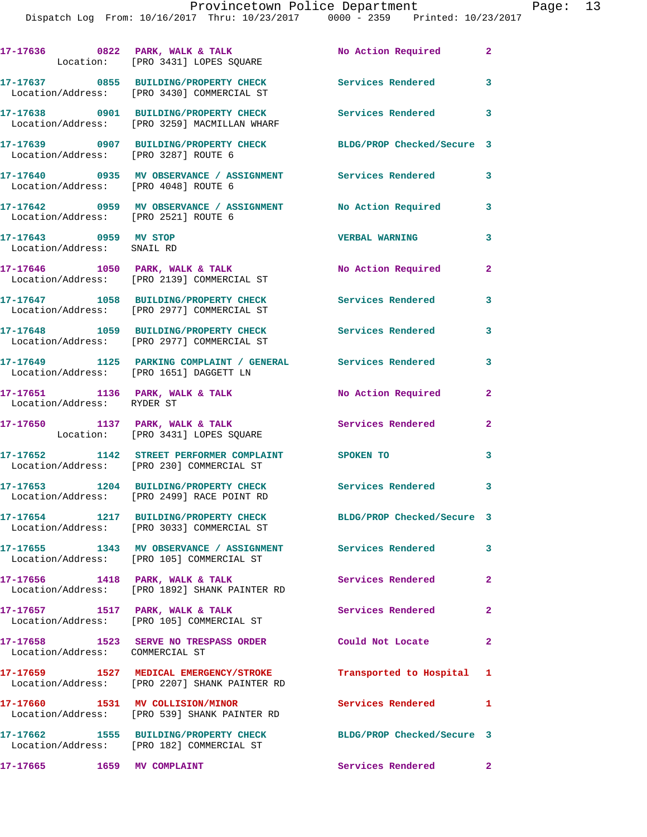|                                                     | $17-17636$ 0822 PARK, WALK & TALK<br>Location: [PRO 3431] LOPES SQUARE                                             | No Action Required 2       |                         |
|-----------------------------------------------------|--------------------------------------------------------------------------------------------------------------------|----------------------------|-------------------------|
|                                                     | 17-17637 0855 BUILDING/PROPERTY CHECK<br>Location/Address: [PRO 3430] COMMERCIAL ST                                | Services Rendered 3        |                         |
|                                                     | 17-17638 0901 BUILDING/PROPERTY CHECK Services Rendered 3<br>Location/Address: [PRO 3259] MACMILLAN WHARF          |                            |                         |
| Location/Address: [PRO 3287] ROUTE 6                | 17-17639 0907 BUILDING/PROPERTY CHECK BLDG/PROP Checked/Secure 3                                                   |                            |                         |
| Location/Address: [PRO 4048] ROUTE 6                | 17-17640 0935 MV OBSERVANCE / ASSIGNMENT Services Rendered 3                                                       |                            |                         |
|                                                     | 17-17642     0959   MV OBSERVANCE / ASSIGNMENT       No Action Required<br>Location/Address:    [PRO 2521] ROUTE 6 |                            | 3                       |
| 17-17643 0959 MV STOP<br>Location/Address: SNAIL RD |                                                                                                                    | <b>VERBAL WARNING</b>      | 3                       |
|                                                     | 17-17646 1050 PARK, WALK & TALK<br>Location/Address: [PRO 2139] COMMERCIAL ST                                      | <b>No Action Required</b>  | $\overline{2}$          |
|                                                     | 17-17647 1058 BUILDING/PROPERTY CHECK<br>Location/Address: [PRO 2977] COMMERCIAL ST                                | Services Rendered          | 3                       |
|                                                     | 17-17648 1059 BUILDING/PROPERTY CHECK Services Rendered 3<br>Location/Address: [PRO 2977] COMMERCIAL ST            |                            |                         |
|                                                     | 17-17649 1125 PARKING COMPLAINT / GENERAL Services Rendered<br>Location/Address: [PRO 1651] DAGGETT LN             |                            | 3                       |
| Location/Address: RYDER ST                          | 17-17651 1136 PARK, WALK & TALK                                                                                    | No Action Required         | $\overline{2}$          |
|                                                     | 17-17650 1137 PARK, WALK & TALK<br>Location: [PRO 3431] LOPES SQUARE                                               | Services Rendered          | $\mathbf{2}$            |
|                                                     | 17-17652 1142 STREET PERFORMER COMPLAINT<br>Location/Address: [PRO 230] COMMERCIAL ST                              | SPOKEN TO                  | $\overline{\mathbf{3}}$ |
|                                                     | 17-17653 1204 BUILDING/PROPERTY CHECK<br>Location/Address: [PRO 2499] RACE POINT RD                                | Services Rendered 3        |                         |
|                                                     | 17-17654 1217 BUILDING/PROPERTY CHECK<br>Location/Address: [PRO 3033] COMMERCIAL ST                                | BLDG/PROP Checked/Secure 3 |                         |
|                                                     | 17-17655 1343 MV OBSERVANCE / ASSIGNMENT Services Rendered<br>Location/Address: [PRO 105] COMMERCIAL ST            |                            | 3                       |
| 17-17656 1418 PARK, WALK & TALK                     | Location/Address: [PRO 1892] SHANK PAINTER RD                                                                      | <b>Services Rendered</b>   | $\overline{2}$          |
|                                                     | 17-17657 1517 PARK, WALK & TALK<br>Location/Address: [PRO 105] COMMERCIAL ST                                       | Services Rendered          | $\mathbf{2}$            |
| Location/Address: COMMERCIAL ST                     | 17-17658 1523 SERVE NO TRESPASS ORDER                                                                              | Could Not Locate           | $\mathbf{2}$            |
|                                                     | 17-17659 1527 MEDICAL EMERGENCY/STROKE<br>Location/Address: [PRO 2207] SHANK PAINTER RD                            | Transported to Hospital 1  |                         |
| 17-17660 1531 MV COLLISION/MINOR                    | Location/Address: [PRO 539] SHANK PAINTER RD                                                                       | Services Rendered          | $\mathbf{1}$            |
|                                                     | 17-17662 1555 BUILDING/PROPERTY CHECK<br>Location/Address: [PRO 182] COMMERCIAL ST                                 | BLDG/PROP Checked/Secure 3 |                         |
| 17-17665                                            | 1659 MV COMPLAINT                                                                                                  | Services Rendered          | $\mathbf{2}$            |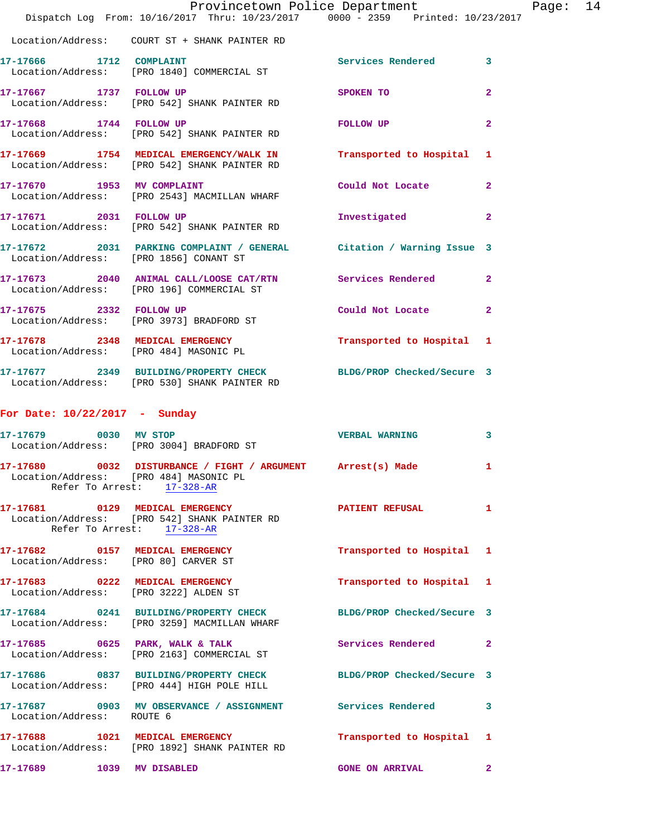|                                                                          | Provincetown Police Department<br>Dispatch Log From: 10/16/2017 Thru: 10/23/2017 0000 - 2359 Printed: 10/23/2017 |                            |                |
|--------------------------------------------------------------------------|------------------------------------------------------------------------------------------------------------------|----------------------------|----------------|
|                                                                          |                                                                                                                  |                            |                |
| 17-17666 1712 COMPLAINT                                                  | Location/Address: [PRO 1840] COMMERCIAL ST                                                                       | Services Rendered          | 3              |
| 17-17667 1737 FOLLOW UP                                                  | Location/Address: [PRO 542] SHANK PAINTER RD                                                                     | SPOKEN TO                  | $\mathbf{2}$   |
| 17-17668 1744 FOLLOW UP                                                  | Location/Address: [PRO 542] SHANK PAINTER RD                                                                     | FOLLOW UP                  | $\overline{a}$ |
|                                                                          | 17-17669 1754 MEDICAL EMERGENCY/WALK IN<br>Location/Address: [PRO 542] SHANK PAINTER RD                          | Transported to Hospital    | 1              |
| 17-17670 1953 MV COMPLAINT                                               | Location/Address: [PRO 2543] MACMILLAN WHARF                                                                     | Could Not Locate           | $\overline{a}$ |
|                                                                          | 17-17671 2031 FOLLOW UP<br>Location/Address: [PRO 542] SHANK PAINTER RD                                          | Investigated               | $\mathbf{2}$   |
| Location/Address: [PRO 1856] CONANT ST                                   | 17-17672 2031 PARKING COMPLAINT / GENERAL Citation / Warning Issue 3                                             |                            |                |
|                                                                          | 17-17673  2040  ANIMAL CALL/LOOSE CAT/RTN  Services Rendered<br>Location/Address: [PRO 196] COMMERCIAL ST        |                            | $\overline{2}$ |
| 17-17675 2332 FOLLOW UP                                                  | Location/Address: [PRO 3973] BRADFORD ST                                                                         | Could Not Locate           | $\mathbf{2}$   |
|                                                                          | 17-17678 2348 MEDICAL EMERGENCY<br>Location/Address: [PRO 484] MASONIC PL                                        | Transported to Hospital    | 1              |
|                                                                          | 17-17677 2349 BUILDING/PROPERTY CHECK BLDG/PROP Checked/Secure 3<br>Location/Address: [PRO 530] SHANK PAINTER RD |                            |                |
| For Date: $10/22/2017$ - Sunday                                          |                                                                                                                  |                            |                |
|                                                                          | 17-17679 0030 MV STOP<br>Location/Address: [PRO 3004] BRADFORD ST                                                | <b>VERBAL WARNING</b>      | 3              |
| Location/Address: [PRO 484] MASONIC PL                                   | 17-17680 0032 DISTURBANCE / FIGHT / ARGUMENT Arrest(s) Made<br>Refer To Arrest: 17-328-AR                        |                            | 1              |
|                                                                          | 17-17681 0129 MEDICAL EMERGENCY<br>Location/Address: [PRO 542] SHANK PAINTER RD<br>Refer To Arrest: 17-328-AR    | <b>PATIENT REFUSAL</b>     | 1              |
| 17-17682 0157 MEDICAL EMERGENCY<br>Location/Address: [PRO 80] CARVER ST  |                                                                                                                  | Transported to Hospital    | 1              |
| 17-17683 0222 MEDICAL EMERGENCY<br>Location/Address: [PRO 3222] ALDEN ST |                                                                                                                  | Transported to Hospital    | 1              |
|                                                                          | 17-17684 0241 BUILDING/PROPERTY CHECK<br>Location/Address: [PRO 3259] MACMILLAN WHARF                            | BLDG/PROP Checked/Secure 3 |                |
|                                                                          | 17-17685 0625 PARK, WALK & TALK<br>Location/Address: [PRO 2163] COMMERCIAL ST                                    | Services Rendered          | $\mathbf{2}$   |
|                                                                          | 17-17686 0837 BUILDING/PROPERTY CHECK BLDG/PROP Checked/Secure 3<br>Location/Address: [PRO 444] HIGH POLE HILL   |                            |                |
| Location/Address: ROUTE 6                                                | 17-17687 0903 MV OBSERVANCE / ASSIGNMENT Services Rendered                                                       |                            | 3              |
| 17-17688                                                                 | 1021 MEDICAL EMERGENCY<br>Location/Address: [PRO 1892] SHANK PAINTER RD                                          | Transported to Hospital    | 1              |
| 17-17689                                                                 | 1039 MV DISABLED                                                                                                 | <b>GONE ON ARRIVAL</b>     | 2              |

Page:  $14$ <br> $^{117}$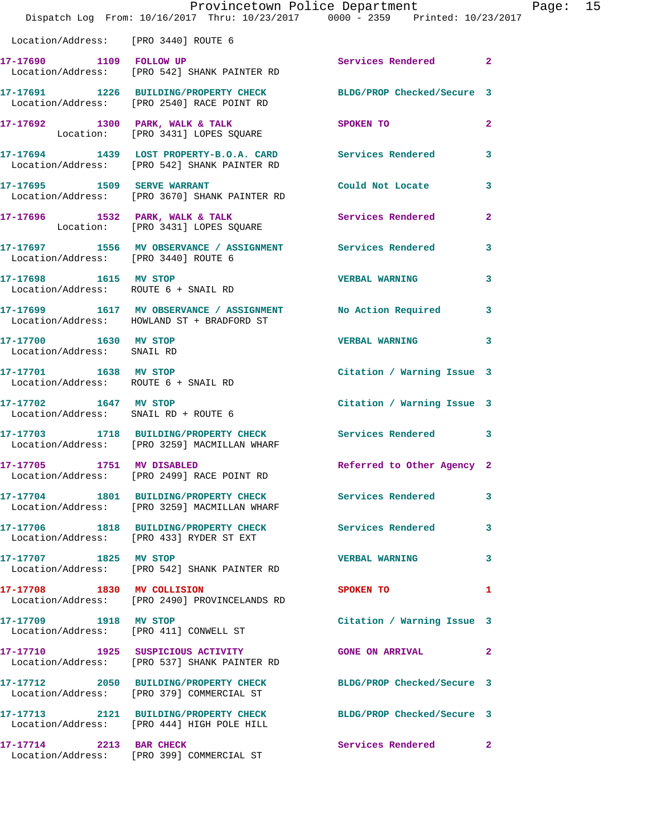|                                                               | Provincetown Police Department<br>Dispatch Log From: 10/16/2017 Thru: 10/23/2017 0000 - 2359 Printed: 10/23/2017 |                            |              |
|---------------------------------------------------------------|------------------------------------------------------------------------------------------------------------------|----------------------------|--------------|
| Location/Address: [PRO 3440] ROUTE 6                          |                                                                                                                  |                            |              |
| 17-17690 1109 FOLLOW UP                                       | Location/Address: [PRO 542] SHANK PAINTER RD                                                                     | Services Rendered          | $\mathbf{2}$ |
|                                                               | 17-17691 1226 BUILDING/PROPERTY CHECK BLDG/PROP Checked/Secure 3<br>Location/Address: [PRO 2540] RACE POINT RD   |                            |              |
|                                                               | 17-17692 1300 PARK, WALK & TALK<br>Location: [PRO 3431] LOPES SQUARE                                             | SPOKEN TO                  | 2            |
|                                                               | 17-17694 1439 LOST PROPERTY-B.O.A. CARD Services Rendered<br>Location/Address: [PRO 542] SHANK PAINTER RD        |                            | 3            |
| 17-17695 1509 SERVE WARRANT                                   | Location/Address: [PRO 3670] SHANK PAINTER RD                                                                    | Could Not Locate           | 3            |
|                                                               | 17-17696 1532 PARK, WALK & TALK<br>Location: [PRO 3431] LOPES SQUARE                                             | <b>Services Rendered</b>   | $\mathbf{2}$ |
| Location/Address: [PRO 3440] ROUTE 6                          | 17-17697 1556 MV OBSERVANCE / ASSIGNMENT Services Rendered                                                       |                            | 3            |
| 17-17698 1615 MV STOP<br>Location/Address: ROUTE 6 + SNAIL RD |                                                                                                                  | <b>VERBAL WARNING</b>      | 3            |
|                                                               | 17-17699 1617 MV OBSERVANCE / ASSIGNMENT No Action Required<br>Location/Address: HOWLAND ST + BRADFORD ST        |                            | 3            |
| 17-17700 1630 MV STOP<br>Location/Address: SNAIL RD           |                                                                                                                  | <b>VERBAL WARNING</b>      | 3            |
| 17-17701 1638 MV STOP<br>Location/Address: ROUTE 6 + SNAIL RD |                                                                                                                  | Citation / Warning Issue 3 |              |
| 17-17702 1647 MV STOP<br>Location/Address: SNAIL RD + ROUTE 6 |                                                                                                                  | Citation / Warning Issue 3 |              |
|                                                               | 17-17703 1718 BUILDING/PROPERTY CHECK Services Rendered<br>Location/Address: [PRO 3259] MACMILLAN WHARF          |                            | 3            |
| 17-17705 1751 MV DISABLED                                     | Location/Address: [PRO 2499] RACE POINT RD                                                                       | Referred to Other Agency 2 |              |
|                                                               | 17-17704 1801 BUILDING/PROPERTY CHECK Services Rendered<br>Location/Address: [PRO 3259] MACMILLAN WHARF          |                            | 3            |
|                                                               | 17-17706 1818 BUILDING/PROPERTY CHECK<br>Location/Address: [PRO 433] RYDER ST EXT                                | <b>Services Rendered</b>   | 3            |
| 17-17707 1825 MV STOP                                         | Location/Address: [PRO 542] SHANK PAINTER RD                                                                     | <b>VERBAL WARNING</b>      | 3            |
|                                                               | 17-17708 1830 MV COLLISION<br>Location/Address: [PRO 2490] PROVINCELANDS RD                                      | SPOKEN TO                  | 1            |
| 17-17709 1918 MV STOP                                         | Location/Address: [PRO 411] CONWELL ST                                                                           | Citation / Warning Issue 3 |              |
|                                                               | 17-17710 1925 SUSPICIOUS ACTIVITY<br>Location/Address: [PRO 537] SHANK PAINTER RD                                | <b>GONE ON ARRIVAL</b>     | 2            |
|                                                               | 17-17712 2050 BUILDING/PROPERTY CHECK BLDG/PROP Checked/Secure 3<br>Location/Address: [PRO 379] COMMERCIAL ST    |                            |              |
|                                                               | 17-17713 2121 BUILDING/PROPERTY CHECK BLDG/PROP Checked/Secure 3<br>Location/Address: [PRO 444] HIGH POLE HILL   |                            |              |
| 17-17714 2213 BAR CHECK                                       | Location/Address: [PRO 399] COMMERCIAL ST                                                                        | Services Rendered          | 2            |

Page: 15